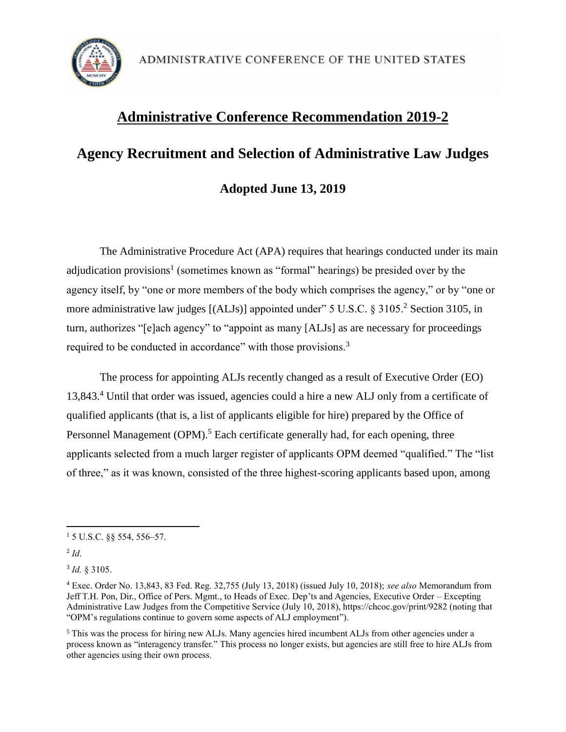

## **Administrative Conference Recommendation 2019-2**

# **Agency Recruitment and Selection of Administrative Law Judges Adopted June 13, 2019**

The Administrative Procedure Act (APA) requires that hearings conducted under its main adjudication provisions<sup>1</sup> (sometimes known as "formal" hearings) be presided over by the agency itself, by "one or more members of the body which comprises the agency," or by "one or more administrative law judges  $[(ALJs)]$  appointed under" 5 U.S.C. § 3105.<sup>2</sup> Section 3105, in turn, authorizes "[e]ach agency" to "appoint as many [ALJs] as are necessary for proceedings required to be conducted in accordance" with those provisions.<sup>3</sup>

The process for appointing ALJs recently changed as a result of Executive Order (EO) 13,843.<sup>4</sup> Until that order was issued, agencies could a hire a new ALJ only from a certificate of qualified applicants (that is, a list of applicants eligible for hire) prepared by the Office of Personnel Management  $(OPM)$ .<sup>5</sup> Each certificate generally had, for each opening, three applicants selected from a much larger register of applicants OPM deemed "qualified." The "list of three," as it was known, consisted of the three highest-scoring applicants based upon, among

 $\overline{\phantom{a}}$  $15$  U.S.C.  $88$  554, 556–57.

<sup>2</sup> *Id*.

<sup>3</sup> *Id.* § 3105.

<sup>4</sup> Exec. Order No. 13,843, 83 Fed. Reg. 32,755 (July 13, 2018) (issued July 10, 2018); *see also* Memorandum from Jeff T.H. Pon, Dir., Office of Pers. Mgmt., to Heads of Exec. Dep'ts and Agencies, Executive Order – Excepting Administrative Law Judges from the Competitive Service (July 10, 2018), https://chcoc.gov/print/9282 (noting that "OPM's regulations continue to govern some aspects of ALJ employment").

<sup>5</sup> This was the process for hiring new ALJs. Many agencies hired incumbent ALJs from other agencies under a process known as "interagency transfer." This process no longer exists, but agencies are still free to hire ALJs from other agencies using their own process.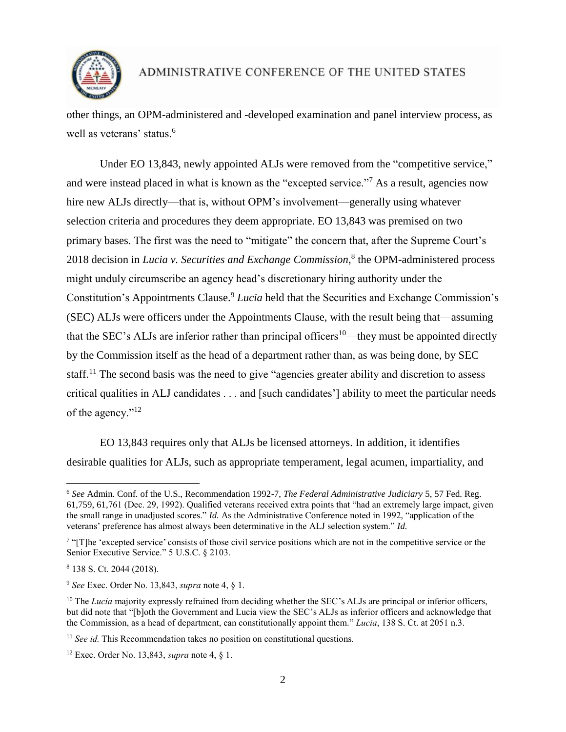

## ADMINISTRATIVE CONFERENCE OF THE UNITED STATES

other things, an OPM-administered and -developed examination and panel interview process, as well as veterans' status.<sup>6</sup>

Under EO 13,843, newly appointed ALJs were removed from the "competitive service," and were instead placed in what is known as the "excepted service."<sup>7</sup> As a result, agencies now hire new ALJs directly—that is, without OPM's involvement—generally using whatever selection criteria and procedures they deem appropriate. EO 13,843 was premised on two primary bases. The first was the need to "mitigate" the concern that, after the Supreme Court's 2018 decision in *Lucia v. Securities and Exchange Commission*, 8 the OPM-administered process might unduly circumscribe an agency head's discretionary hiring authority under the Constitution's Appointments Clause.<sup>9</sup> *Lucia* held that the Securities and Exchange Commission's (SEC) ALJs were officers under the Appointments Clause, with the result being that—assuming that the SEC's ALJs are inferior rather than principal officers<sup>10—they</sup> must be appointed directly by the Commission itself as the head of a department rather than, as was being done, by SEC staff.<sup>11</sup> The second basis was the need to give "agencies greater ability and discretion to assess critical qualities in ALJ candidates . . . and [such candidates'] ability to meet the particular needs of the agency."<sup>12</sup>

EO 13,843 requires only that ALJs be licensed attorneys. In addition, it identifies desirable qualities for ALJs, such as appropriate temperament, legal acumen, impartiality, and

 $\overline{\phantom{a}}$ 

<sup>11</sup> *See id.* This Recommendation takes no position on constitutional questions.

<sup>6</sup> *See* Admin. Conf. of the U.S., Recommendation 1992-7, *The Federal Administrative Judiciary* 5, 57 Fed. Reg. 61,759, 61,761 (Dec. 29, 1992). Qualified veterans received extra points that "had an extremely large impact, given the small range in unadjusted scores." *Id.* As the Administrative Conference noted in 1992, "application of the veterans' preference has almost always been determinative in the ALJ selection system." *Id.* 

<sup>&</sup>lt;sup>7</sup> "[T]he 'excepted service' consists of those civil service positions which are not in the competitive service or the Senior Executive Service." 5 U.S.C. § 2103.

<sup>8</sup> 138 S. Ct. 2044 (2018).

<sup>9</sup> *See* Exec. Order No. 13,843, *supra* note 4, § 1.

<sup>&</sup>lt;sup>10</sup> The *Lucia* majority expressly refrained from deciding whether the SEC's ALJs are principal or inferior officers, but did note that "[b]oth the Government and Lucia view the SEC's ALJs as inferior officers and acknowledge that the Commission, as a head of department, can constitutionally appoint them." *Lucia*, 138 S. Ct. at 2051 n.3.

<sup>12</sup> Exec. Order No. 13,843, *supra* note 4, § 1.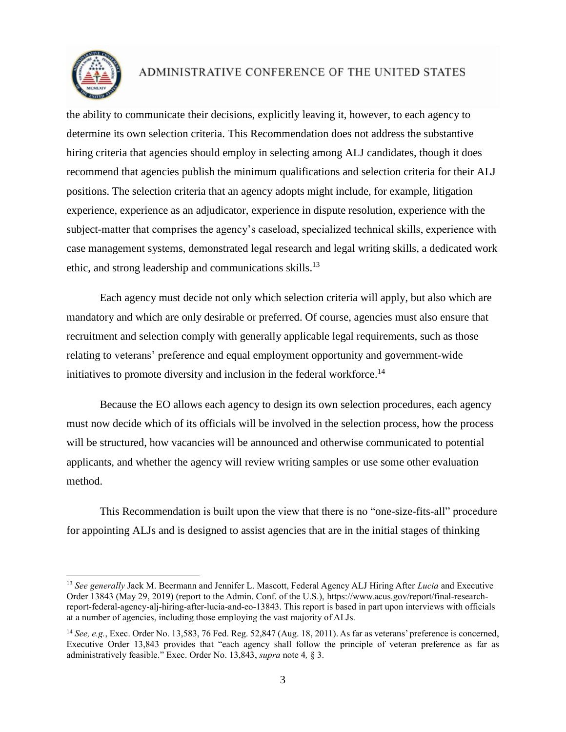

 $\overline{\phantom{a}}$ 

#### ADMINISTRATIVE CONFERENCE OF THE UNITED STATES

the ability to communicate their decisions, explicitly leaving it, however, to each agency to determine its own selection criteria. This Recommendation does not address the substantive hiring criteria that agencies should employ in selecting among ALJ candidates, though it does recommend that agencies publish the minimum qualifications and selection criteria for their ALJ positions. The selection criteria that an agency adopts might include, for example, litigation experience, experience as an adjudicator, experience in dispute resolution, experience with the subject-matter that comprises the agency's caseload, specialized technical skills, experience with case management systems, demonstrated legal research and legal writing skills, a dedicated work ethic, and strong leadership and communications skills.<sup>13</sup>

Each agency must decide not only which selection criteria will apply, but also which are mandatory and which are only desirable or preferred. Of course, agencies must also ensure that recruitment and selection comply with generally applicable legal requirements, such as those relating to veterans' preference and equal employment opportunity and government-wide initiatives to promote diversity and inclusion in the federal workforce.<sup>14</sup>

Because the EO allows each agency to design its own selection procedures, each agency must now decide which of its officials will be involved in the selection process, how the process will be structured, how vacancies will be announced and otherwise communicated to potential applicants, and whether the agency will review writing samples or use some other evaluation method.

This Recommendation is built upon the view that there is no "one-size-fits-all" procedure for appointing ALJs and is designed to assist agencies that are in the initial stages of thinking

<sup>13</sup> *See generally* Jack M. Beermann and Jennifer L. Mascott, Federal Agency ALJ Hiring After *Lucia* and Executive Order 13843 (May 29, 2019) (report to the Admin. Conf. of the U.S.), https://www.acus.gov/report/final-researchreport-federal-agency-alj-hiring-after-lucia-and-eo-13843. This report is based in part upon interviews with officials at a number of agencies, including those employing the vast majority of ALJs.

<sup>&</sup>lt;sup>14</sup> *See, e.g.*, Exec. Order No. 13,583, 76 Fed. Reg. 52,847 (Aug. 18, 2011). As far as veterans' preference is concerned, Executive Order 13,843 provides that "each agency shall follow the principle of veteran preference as far as administratively feasible." Exec. Order No. 13,843, *supra* note 4*,* § 3.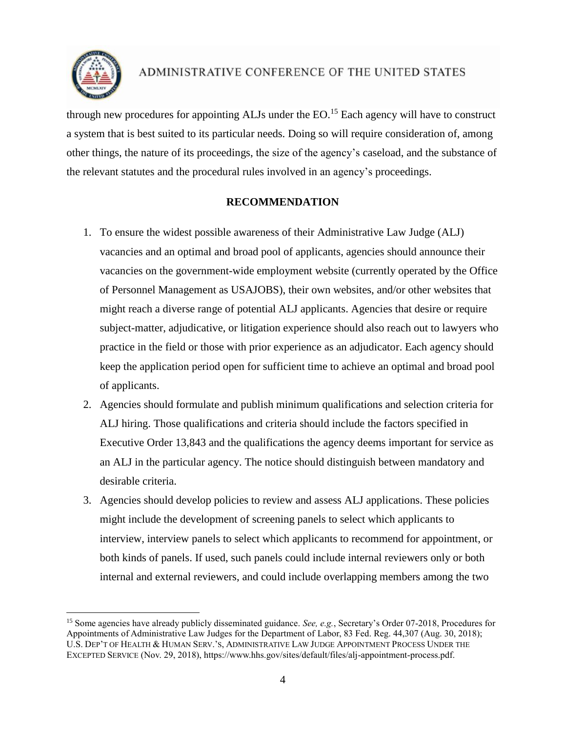

 $\overline{a}$ 

### ADMINISTRATIVE CONFERENCE OF THE UNITED STATES

through new procedures for appointing ALJs under the  $EO$ .<sup>15</sup> Each agency will have to construct a system that is best suited to its particular needs. Doing so will require consideration of, among other things, the nature of its proceedings, the size of the agency's caseload, and the substance of the relevant statutes and the procedural rules involved in an agency's proceedings.

#### **RECOMMENDATION**

- 1. To ensure the widest possible awareness of their Administrative Law Judge (ALJ) vacancies and an optimal and broad pool of applicants, agencies should announce their vacancies on the government-wide employment website (currently operated by the Office of Personnel Management as USAJOBS), their own websites, and/or other websites that might reach a diverse range of potential ALJ applicants. Agencies that desire or require subject-matter, adjudicative, or litigation experience should also reach out to lawyers who practice in the field or those with prior experience as an adjudicator. Each agency should keep the application period open for sufficient time to achieve an optimal and broad pool of applicants.
- 2. Agencies should formulate and publish minimum qualifications and selection criteria for ALJ hiring. Those qualifications and criteria should include the factors specified in Executive Order 13,843 and the qualifications the agency deems important for service as an ALJ in the particular agency. The notice should distinguish between mandatory and desirable criteria.
- 3. Agencies should develop policies to review and assess ALJ applications. These policies might include the development of screening panels to select which applicants to interview, interview panels to select which applicants to recommend for appointment, or both kinds of panels. If used, such panels could include internal reviewers only or both internal and external reviewers, and could include overlapping members among the two

<sup>15</sup> Some agencies have already publicly disseminated guidance. *See, e.g.*, Secretary's Order 07-2018, Procedures for Appointments of Administrative Law Judges for the Department of Labor, 83 Fed. Reg. 44,307 (Aug. 30, 2018); U.S. DEP'T OF HEALTH & HUMAN SERV.'S, ADMINISTRATIVE LAW JUDGE APPOINTMENT PROCESS UNDER THE EXCEPTED SERVICE (Nov. 29, 2018), https://www.hhs.gov/sites/default/files/alj-appointment-process.pdf.